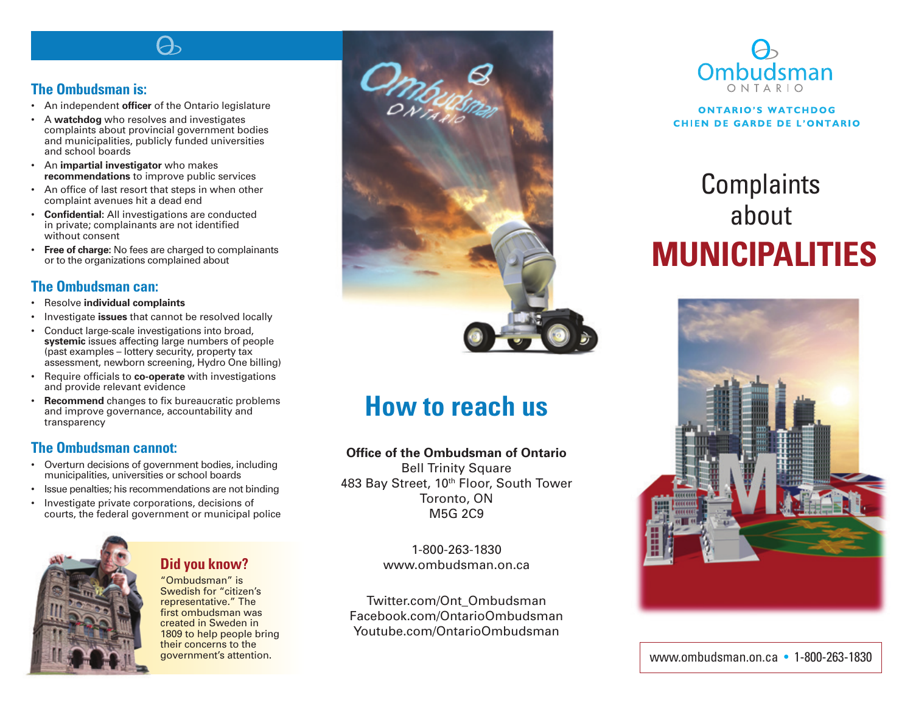# $\Theta_2$

## **The Ombudsman is:**

- An independent **officer** of the Ontario legislature
- A **watchdog** who resolves and investigates complaints about provincial government bodies and municipalities, publicly funded universities and school boards
- • An **impartial investigator** who makes **recommendations** to improve public services
- • An office of last resort that steps in when other complaint avenues hit a dead end
- **Confidential:** All investigations are conducted in private; complainants are not identified without consent
- • **Free of charge:** No fees are charged to complainants or to the organizations complained about

### **The Ombudsman can:**

- • Resolve **individual complaints**
- • Investigate **issues** that cannot be resolved locally
- • Conduct large-scale investigations into broad, **systemic** issues affecting large numbers of people (past examples – lottery security, property tax assessment, newborn screening, Hydro One billing)
- • Require officials to **co-operate** with investigations and provide relevant evidence
- • **Recommend** changes to fix bureaucratic problems and improve governance, accountability and transparency

#### **The Ombudsman cannot:**

- • Overturn decisions of government bodies, including municipalities, universities or school boards
- Issue penalties; his recommendations are not binding
- • Investigate private corporations, decisions of courts, the federal government or municipal police



# **Did you know?**

"Ombudsman" is Swedish for "citizen's representative." The first ombudsman was created in Sweden in 1809 to help people bring their concerns to the government's attention.



**How to reach us**

**Office of the Ombudsman of Ontario** Bell Trinity Square 483 Bay Street, 10<sup>th</sup> Floor, South Tower Toronto, ON M5G 2C9

> 1-800-263-1830 www.ombudsman.on.ca

Twitter.com/Ont\_Ombudsman Facebook.com/OntarioOmbudsman Youtube.com/OntarioOmbudsman



**ONTARIO'S WATCHDOG CHIEN DE GARDE DE L'ONTARIO** 

# **Complaints** about  **MUNICIPALITIES**